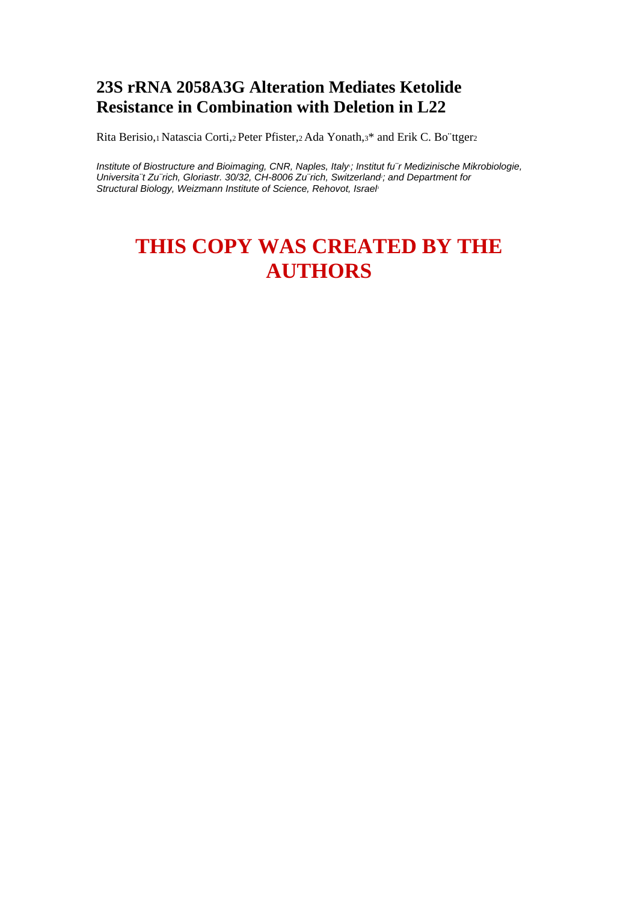## **23S rRNA 2058A3G Alteration Mediates Ketolide Resistance in Combination with Deletion in L22**

Rita Berisio,1 Natascia Corti,2 Peter Pfister,2 Ada Yonath,3\* and Erik C. Bo¨ttger2

Institute of Biostructure and Bioimaging, CNR, Naples, Italy; Institut fu<sup>"</sup>r Medizinische Mikrobiologie, Universita<sup>"</sup>t Zu"rich, Gloriastr. 30/32, CH-8006 Zu"rich, Switzerland; and Department for **Structural Biology, Weizmann Institute of Science, Rehovot, Israel** 

# **THIS COPY WAS CREATED BY THE AUTHORS**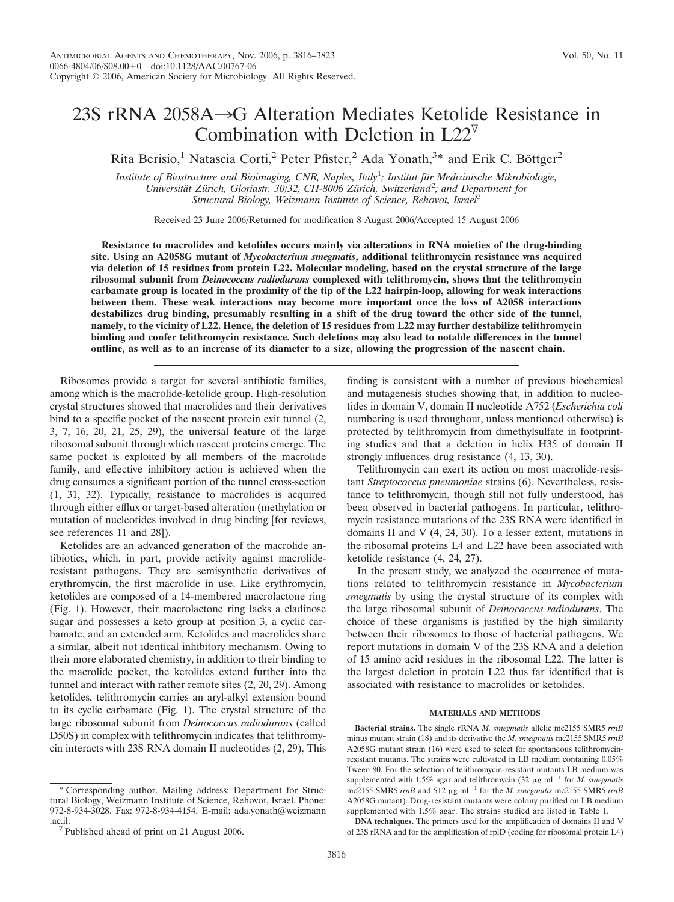## 23S  $rRNA$  2058A $\rightarrow$ G Alteration Mediates Ketolide Resistance in Combination with Deletion in  $L22^{\nabla}$

Rita Berisio,<sup>1</sup> Natascia Corti,<sup>2</sup> Peter Pfister,<sup>2</sup> Ada Yonath,<sup>3\*</sup> and Erik C. Böttger<sup>2</sup>

Institute of Biostructure and Bioimaging, CNR, Naples, Italy<sup>1</sup>; Institut für Medizinische Mikrobiologie, *Universita¨t Zu¨rich, Gloriastr. 30/32, CH-8006 Zu¨rich, Switzerland*<sup>2</sup> *; and Department for Structural Biology, Weizmann Institute of Science, Rehovot, Israel*<sup>3</sup>

Received 23 June 2006/Returned for modification 8 August 2006/Accepted 15 August 2006

**Resistance to macrolides and ketolides occurs mainly via alterations in RNA moieties of the drug-binding site. Using an A2058G mutant of** *Mycobacterium smegmatis***, additional telithromycin resistance was acquired via deletion of 15 residues from protein L22. Molecular modeling, based on the crystal structure of the large ribosomal subunit from** *Deinococcus radiodurans* **complexed with telithromycin, shows that the telithromycin carbamate group is located in the proximity of the tip of the L22 hairpin-loop, allowing for weak interactions between them. These weak interactions may become more important once the loss of A2058 interactions destabilizes drug binding, presumably resulting in a shift of the drug toward the other side of the tunnel, namely, to the vicinity of L22. Hence, the deletion of 15 residues from L22 may further destabilize telithromycin binding and confer telithromycin resistance. Such deletions may also lead to notable differences in the tunnel outline, as well as to an increase of its diameter to a size, allowing the progression of the nascent chain.**

Ribosomes provide a target for several antibiotic families, among which is the macrolide-ketolide group. High-resolution crystal structures showed that macrolides and their derivatives bind to a specific pocket of the nascent protein exit tunnel (2, 3, 7, 16, 20, 21, 25, 29), the universal feature of the large ribosomal subunit through which nascent proteins emerge. The same pocket is exploited by all members of the macrolide family, and effective inhibitory action is achieved when the drug consumes a significant portion of the tunnel cross-section (1, 31, 32). Typically, resistance to macrolides is acquired through either efflux or target-based alteration (methylation or mutation of nucleotides involved in drug binding [for reviews, see references 11 and 28]).

Ketolides are an advanced generation of the macrolide antibiotics, which, in part, provide activity against macrolideresistant pathogens. They are semisynthetic derivatives of erythromycin, the first macrolide in use. Like erythromycin, ketolides are composed of a 14-membered macrolactone ring (Fig. 1). However, their macrolactone ring lacks a cladinose sugar and possesses a keto group at position 3, a cyclic carbamate, and an extended arm. Ketolides and macrolides share a similar, albeit not identical inhibitory mechanism. Owing to their more elaborated chemistry, in addition to their binding to the macrolide pocket, the ketolides extend further into the tunnel and interact with rather remote sites (2, 20, 29). Among ketolides, telithromycin carries an aryl-alkyl extension bound to its cyclic carbamate (Fig. 1). The crystal structure of the large ribosomal subunit from *Deinococcus radiodurans* (called D50S) in complex with telithromycin indicates that telithromycin interacts with 23S RNA domain II nucleotides (2, 29). This

\* Corresponding author. Mailing address: Department for Structural Biology, Weizmann Institute of Science, Rehovot, Israel. Phone: 972-8-934-3028. Fax: 972-8-934-4154. E-mail: ada.yonath@weizmann finding is consistent with a number of previous biochemical and mutagenesis studies showing that, in addition to nucleotides in domain V, domain II nucleotide A752 (*Escherichia coli* numbering is used throughout, unless mentioned otherwise) is protected by telithromycin from dimethylsulfate in footprinting studies and that a deletion in helix H35 of domain II strongly influences drug resistance (4, 13, 30).

Telithromycin can exert its action on most macrolide-resistant *Streptococcus pneumoniae* strains (6). Nevertheless, resistance to telithromycin, though still not fully understood, has been observed in bacterial pathogens. In particular, telithromycin resistance mutations of the 23S RNA were identified in domains II and V (4, 24, 30). To a lesser extent, mutations in the ribosomal proteins L4 and L22 have been associated with ketolide resistance (4, 24, 27).

In the present study, we analyzed the occurrence of mutations related to telithromycin resistance in *Mycobacterium smegmatis* by using the crystal structure of its complex with the large ribosomal subunit of *Deinococcus radiodurans*. The choice of these organisms is justified by the high similarity between their ribosomes to those of bacterial pathogens. We report mutations in domain V of the 23S RNA and a deletion of 15 amino acid residues in the ribosomal L22. The latter is the largest deletion in protein L22 thus far identified that is associated with resistance to macrolides or ketolides.

#### **MATERIALS AND METHODS**

**Bacterial strains.** The single rRNA *M. smegmatis* allelic mc2155 SMR5 *rrnB* minus mutant strain (18) and its derivative the *M. smegmatis* mc2155 SMR5 *rrnB* A2058G mutant strain (16) were used to select for spontaneous telithromycinresistant mutants. The strains were cultivated in LB medium containing 0.05% Tween 80. For the selection of telithromycin-resistant mutants LB medium was supplemented with 1.5% agar and telithromycin (32  $\mu$ g ml<sup>-1</sup> for *M. smegmatis* mc2155 SMR5  $rrnB$  and 512  $\mu$ g ml<sup>-1</sup> for the *M. smegmatis* mc2155 SMR5  $rrnB$ A2058G mutant). Drug-resistant mutants were colony purified on LB medium supplemented with 1.5% agar. The strains studied are listed in Table 1.

**DNA techniques.** The primers used for the amplification of domains II and V of 23S rRNA and for the amplification of rplD (coding for ribosomal protein L4)

 $\sqrt[p]{}$  Published ahead of print on 21 August 2006.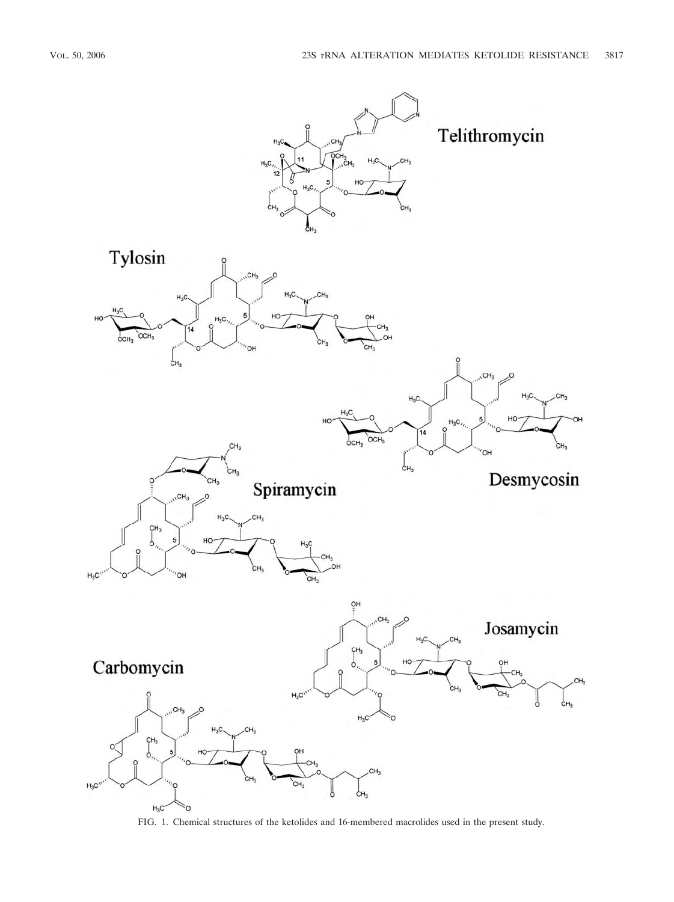

FIG. 1. Chemical structures of the ketolides and 16-membered macrolides used in the present study.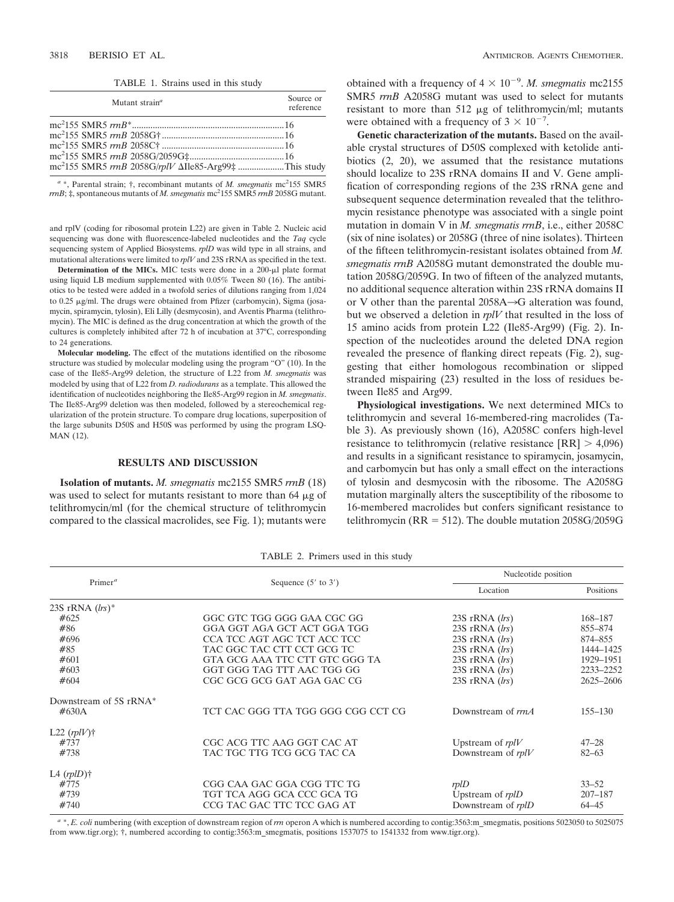TABLE 1. Strains used in this study

| Mutant strain <sup>a</sup>                                                | Source or<br>reference |
|---------------------------------------------------------------------------|------------------------|
|                                                                           |                        |
|                                                                           |                        |
|                                                                           |                        |
| mc <sup>2</sup> 155 SMR5 rrnB 2058G/rplV $\Delta$ Ile85-Arg99‡ This study |                        |

a \*, Parental strain; †, recombinant mutants of *M. smegmatis* mc<sup>2</sup>155 SMR5 *rrnB*; ‡, spontaneous mutants of *M. smegmatis* mc<sup>2</sup> 155 SMR5 *rrnB* 2058G mutant.

and rplV (coding for ribosomal protein L22) are given in Table 2. Nucleic acid sequencing was done with fluorescence-labeled nucleotides and the *Taq* cycle sequencing system of Applied Biosystems. *rplD* was wild type in all strains, and mutational alterations were limited to *rplV* and 23S rRNA as specified in the text.

**Determination of the MICs.** MIC tests were done in a  $200-\mu l$  plate format using liquid LB medium supplemented with 0.05% Tween 80 (16). The antibiotics to be tested were added in a twofold series of dilutions ranging from 1,024 to 0.25 µg/ml. The drugs were obtained from Pfizer (carbomycin), Sigma (josamycin, spiramycin, tylosin), Eli Lilly (desmycosin), and Aventis Pharma (telithromycin). The MIC is defined as the drug concentration at which the growth of the cultures is completely inhibited after 72 h of incubation at 37°C, corresponding to 24 generations.

**Molecular modeling.** The effect of the mutations identified on the ribosome structure was studied by molecular modeling using the program "O" (10). In the case of the Ile85-Arg99 deletion, the structure of L22 from *M. smegmatis* was modeled by using that of L22 from *D. radiodurans* as a template. This allowed the identification of nucleotides neighboring the Ile85-Arg99 region in *M. smegmatis*. The Ile85-Arg99 deletion was then modeled, followed by a stereochemical regularization of the protein structure. To compare drug locations, superposition of the large subunits D50S and H50S was performed by using the program LSQ-MAN (12).

### **RESULTS AND DISCUSSION**

**Isolation of mutants.** *M. smegmatis* mc2155 SMR5 *rrnB* (18) was used to select for mutants resistant to more than  $64 \mu g$  of telithromycin/ml (for the chemical structure of telithromycin compared to the classical macrolides, see Fig. 1); mutants were

obtained with a frequency of  $4 \times 10^{-9}$ . *M. smegmatis* mc2155 SMR5 *rrnB* A2058G mutant was used to select for mutants resistant to more than  $512 \mu g$  of telithromycin/ml; mutants were obtained with a frequency of  $3 \times 10^{-7}$ .

**Genetic characterization of the mutants.** Based on the available crystal structures of D50S complexed with ketolide antibiotics (2, 20), we assumed that the resistance mutations should localize to 23S rRNA domains II and V. Gene amplification of corresponding regions of the 23S rRNA gene and subsequent sequence determination revealed that the telithromycin resistance phenotype was associated with a single point mutation in domain V in *M. smegmatis rrnB*, i.e., either 2058C (six of nine isolates) or 2058G (three of nine isolates). Thirteen of the fifteen telithromycin-resistant isolates obtained from *M. smegmatis rrnB* A2058G mutant demonstrated the double mutation 2058G/2059G. In two of fifteen of the analyzed mutants, no additional sequence alteration within 23S rRNA domains II or V other than the parental  $2058A \rightarrow G$  alteration was found, but we observed a deletion in *rplV* that resulted in the loss of 15 amino acids from protein L22 (Ile85-Arg99) (Fig. 2). Inspection of the nucleotides around the deleted DNA region revealed the presence of flanking direct repeats (Fig. 2), suggesting that either homologous recombination or slipped stranded mispairing (23) resulted in the loss of residues between Ile85 and Arg99.

**Physiological investigations.** We next determined MICs to telithromycin and several 16-membered-ring macrolides (Table 3). As previously shown (16), A2058C confers high-level resistance to telithromycin (relative resistance  $[RR] > 4,096$ ) and results in a significant resistance to spiramycin, josamycin, and carbomycin but has only a small effect on the interactions of tylosin and desmycosin with the ribosome. The A2058G mutation marginally alters the susceptibility of the ribosome to 16-membered macrolides but confers significant resistance to telithromycin ( $RR = 512$ ). The double mutation 2058G/2059G

|                           |                                    | Nucleotide position  |             |  |
|---------------------------|------------------------------------|----------------------|-------------|--|
| Primer <sup>a</sup>       | Sequence $(5'$ to $3')$            | Location             | Positions   |  |
| 23S rRNA $(lrs)^*$        |                                    |                      |             |  |
| #625                      | GGC GTC TGG GGG GAA CGC GG         | $23S$ rRNA $(lrs)$   | 168-187     |  |
| #86                       | GGA GGT AGA GCT ACT GGA TGG        | 23S r $RNA$ (lrs)    | 855-874     |  |
| #696                      | CCA TCC AGT AGC TCT ACC TCC        | 23S r $RNA$ (lrs)    | 874-855     |  |
| #85                       | TAC GGC TAC CTT CCT GCG TC         | $23S$ rRNA $(lrs)$   | 1444-1425   |  |
| #601                      | GTA GCG AAA TTC CTT GTC GGG TA     | $23S$ rRNA $(lrs)$   | 1929-1951   |  |
| #603                      | GGT GGG TAG TTT AAC TGG GG         | $23S$ rRNA $(lrs)$   | 2233-2252   |  |
| #604                      | CGC GCG GCG GAT AGA GAC CG         | 23S r $RNA$ (lrs)    | 2625-2606   |  |
| Downstream of 5S rRNA*    |                                    |                      |             |  |
| $\#630A$                  | TCT CAC GGG TTA TGG GGG CGG CCT CG | Downstream of rrnA   | $155 - 130$ |  |
| L22 $(rplV)$ †            |                                    |                      |             |  |
| #737                      | CGC ACG TTC AAG GGT CAC AT         | Upstream of $rplV$   | $47 - 28$   |  |
| #738                      | TAC TGC TTG TCG GCG TAC CA         | Downstream of $rplV$ | $82 - 63$   |  |
| L <sub>4</sub> $(rpID)$ † |                                    |                      |             |  |
| #775                      | CGG CAA GAC GGA CGG TTC TG         | rplD                 | $33 - 52$   |  |
| #739                      | TGT TCA AGG GCA CCC GCA TG         | Upstream of $rplD$   | $207 - 187$ |  |
| #740                      | CCG TAC GAC TTC TCC GAG AT         | Downstream of rplD   | $64 - 45$   |  |

TABLE 2. Primers used in this study

*<sup>a</sup>* \*, *E. coli* numbering (with exception of downstream region of *rrn* operon A which is numbered according to contig:3563:m\_smegmatis, positions 5023050 to 5025075 from www.tigr.org); †, numbered according to contig:3563:m\_smegmatis, positions 1537075 to 1541332 from www.tigr.org).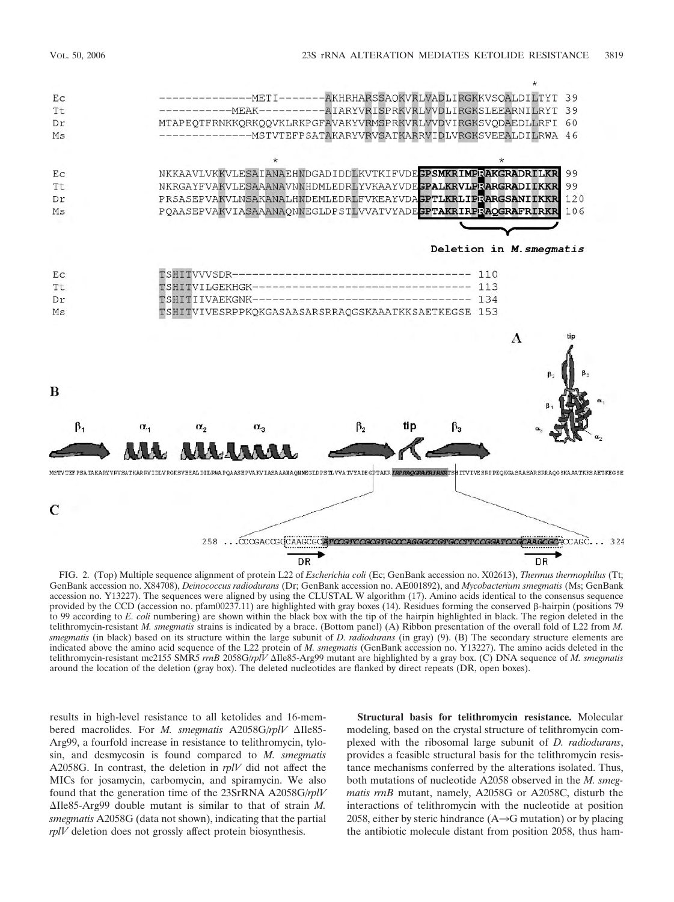

FIG. 2. (Top) Multiple sequence alignment of protein L22 of *Escherichia coli* (Ec; GenBank accession no. X02613), *Thermus thermophilus* (Tt; GenBank accession no. X84708), *Deinococcus radiodurans* (Dr; GenBank accession no. AE001892), and *Mycobacterium smegmatis* (Ms; GenBank accession no. Y13227). The sequences were aligned by using the CLUSTAL W algorithm (17). Amino acids identical to the consensus sequence provided by the CCD (accession no. pfam00237.11) are highlighted with gray boxes (14). Residues forming the conserved  $\beta$ -hairpin (positions 79 to 99 according to *E. coli* numbering) are shown within the black box with the tip of the hairpin highlighted in black. The region deleted in the telithromycin-resistant *M. smegmatis* strains is indicated by a brace. (Bottom panel) (A) Ribbon presentation of the overall fold of L22 from *M. smegmatis* (in black) based on its structure within the large subunit of *D. radiodurans* (in gray) (9). (B) The secondary structure elements are indicated above the amino acid sequence of the L22 protein of *M. smegmatis* (GenBank accession no. Y13227). The amino acids deleted in the telithromycin-resistant mc2155 SMR5 *rrnB* 2058G/*rplV* Ile85-Arg99 mutant are highlighted by a gray box. (C) DNA sequence of *M. smegmatis* around the location of the deletion (gray box). The deleted nucleotides are flanked by direct repeats (DR, open boxes).

results in high-level resistance to all ketolides and 16-membered macrolides. For *M. smegmatis* A2058G/*rplV*  $\triangle$ Ile85-Arg99, a fourfold increase in resistance to telithromycin, tylosin, and desmycosin is found compared to *M. smegmatis* A2058G. In contrast, the deletion in *rplV* did not affect the MICs for josamycin, carbomycin, and spiramycin. We also found that the generation time of the 23SrRNA A2058G/*rplV*  $\Delta$ Ile85-Arg99 double mutant is similar to that of strain *M*. *smegmatis* A2058G (data not shown), indicating that the partial *rplV* deletion does not grossly affect protein biosynthesis.

**Structural basis for telithromycin resistance.** Molecular modeling, based on the crystal structure of telithromycin complexed with the ribosomal large subunit of *D. radiodurans*, provides a feasible structural basis for the telithromycin resistance mechanisms conferred by the alterations isolated. Thus, both mutations of nucleotide A2058 observed in the *M. smegmatis rrnB* mutant, namely, A2058G or A2058C, disturb the interactions of telithromycin with the nucleotide at position 2058, either by steric hindrance  $(A\rightarrow G$  mutation) or by placing the antibiotic molecule distant from position 2058, thus ham-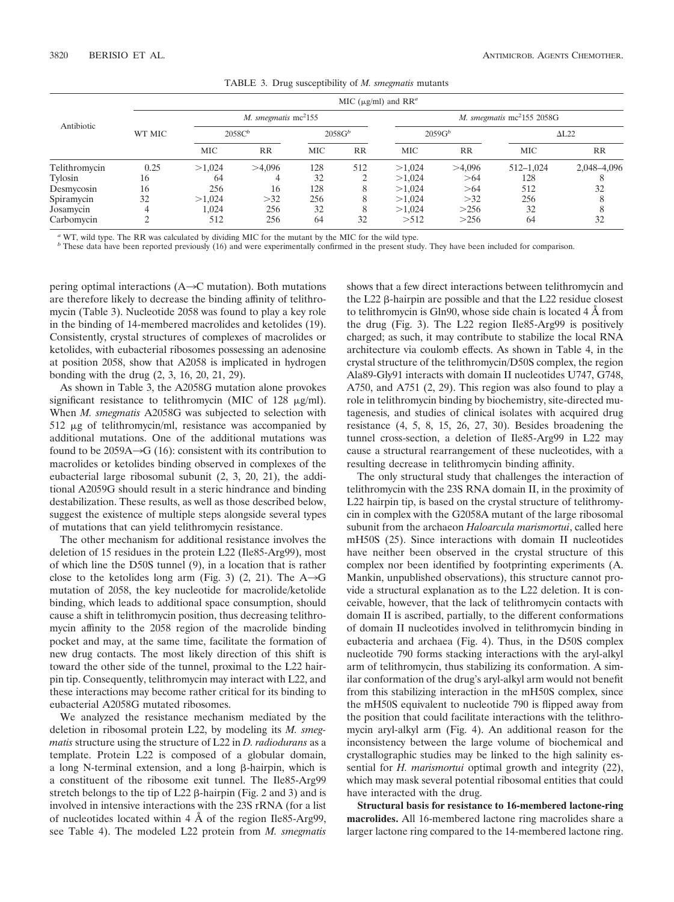| Antibiotic    | MIC ( $\mu$ g/ml) and RR <sup>a</sup> |                       |           |           |                                        |           |           |              |             |
|---------------|---------------------------------------|-----------------------|-----------|-----------|----------------------------------------|-----------|-----------|--------------|-------------|
|               |                                       | M. smegmatis $mc2155$ |           |           | M. smegmatis mc <sup>2</sup> 155 2058G |           |           |              |             |
|               | WT MIC                                | 2058C <sup>b</sup>    |           | $2058G^b$ |                                        | $2059G^b$ |           | $\Delta$ L22 |             |
|               |                                       | <b>MIC</b>            | <b>RR</b> | MIC       | <b>RR</b>                              | MIC       | <b>RR</b> | <b>MIC</b>   | RR          |
| Telithromycin | 0.25                                  | >1.024                | >4,096    | 128       | 512                                    | >1.024    | >4,096    | 512-1.024    | 2,048-4,096 |
| Tylosin       | 16                                    | 64                    |           | 32        |                                        | >1,024    | >64       | 128          |             |
| Desmycosin    | 16                                    | 256                   | 16        | 128       | 8                                      | >1,024    | >64       | 512          | 32          |
| Spiramycin    | 32                                    | >1.024                | >32       | 256       |                                        | >1.024    | >32       | 256          |             |
| Josamycin     |                                       | 1,024                 | 256       | 32        | 8                                      | >1,024    | >256      | 32           |             |
| Carbomycin    | ◠                                     | 512                   | 256       | 64        | 32                                     | >512      | >256      | 64           | 32          |

TABLE 3. Drug susceptibility of *M. smegmatis* mutants

*<sup>a</sup>* WT, wild type. The RR was calculated by dividing MIC for the mutant by the MIC for the wild type.

*<sup>b</sup>* These data have been reported previously (16) and were experimentally confirmed in the present study. They have been included for comparison.

pering optimal interactions  $(A\rightarrow C$  mutation). Both mutations are therefore likely to decrease the binding affinity of telithromycin (Table 3). Nucleotide 2058 was found to play a key role in the binding of 14-membered macrolides and ketolides (19). Consistently, crystal structures of complexes of macrolides or ketolides, with eubacterial ribosomes possessing an adenosine at position 2058, show that A2058 is implicated in hydrogen bonding with the drug (2, 3, 16, 20, 21, 29).

As shown in Table 3, the A2058G mutation alone provokes significant resistance to telithromycin (MIC of  $128 \mu g/ml$ ). When *M. smegmatis* A2058G was subjected to selection with 512 µg of telithromycin/ml, resistance was accompanied by additional mutations. One of the additional mutations was found to be 2059A $\rightarrow$ G (16): consistent with its contribution to macrolides or ketolides binding observed in complexes of the eubacterial large ribosomal subunit (2, 3, 20, 21), the additional A2059G should result in a steric hindrance and binding destabilization. These results, as well as those described below, suggest the existence of multiple steps alongside several types of mutations that can yield telithromycin resistance.

The other mechanism for additional resistance involves the deletion of 15 residues in the protein L22 (Ile85-Arg99), most of which line the D50S tunnel (9), in a location that is rather close to the ketolides long arm (Fig. 3) (2, 21). The  $A\rightarrow G$ mutation of 2058, the key nucleotide for macrolide/ketolide binding, which leads to additional space consumption, should cause a shift in telithromycin position, thus decreasing telithromycin affinity to the 2058 region of the macrolide binding pocket and may, at the same time, facilitate the formation of new drug contacts. The most likely direction of this shift is toward the other side of the tunnel, proximal to the L22 hairpin tip. Consequently, telithromycin may interact with L22, and these interactions may become rather critical for its binding to eubacterial A2058G mutated ribosomes.

We analyzed the resistance mechanism mediated by the deletion in ribosomal protein L22, by modeling its *M. smegmatis* structure using the structure of L22 in *D. radiodurans* as a template. Protein L22 is composed of a globular domain, a long N-terminal extension, and a long  $\beta$ -hairpin, which is a constituent of the ribosome exit tunnel. The Ile85-Arg99 stretch belongs to the tip of  $L22 \beta$ -hairpin (Fig. 2 and 3) and is involved in intensive interactions with the 23S rRNA (for a list of nucleotides located within 4 Å of the region Ile85-Arg99, see Table 4). The modeled L22 protein from *M. smegmatis*

shows that a few direct interactions between telithromycin and the L22  $\beta$ -hairpin are possible and that the L22 residue closest to telithromycin is Gln90, whose side chain is located 4 Å from the drug (Fig. 3). The L22 region Ile85-Arg99 is positively charged; as such, it may contribute to stabilize the local RNA architecture via coulomb effects. As shown in Table 4, in the crystal structure of the telithromycin/D50S complex, the region Ala89-Gly91 interacts with domain II nucleotides U747, G748, A750, and A751 (2, 29). This region was also found to play a role in telithromycin binding by biochemistry, site-directed mutagenesis, and studies of clinical isolates with acquired drug resistance (4, 5, 8, 15, 26, 27, 30). Besides broadening the tunnel cross-section, a deletion of Ile85-Arg99 in L22 may cause a structural rearrangement of these nucleotides, with a resulting decrease in telithromycin binding affinity.

The only structural study that challenges the interaction of telithromycin with the 23S RNA domain II, in the proximity of L22 hairpin tip, is based on the crystal structure of telithromycin in complex with the G2058A mutant of the large ribosomal subunit from the archaeon *Haloarcula marismortui*, called here mH50S (25). Since interactions with domain II nucleotides have neither been observed in the crystal structure of this complex nor been identified by footprinting experiments (A. Mankin, unpublished observations), this structure cannot provide a structural explanation as to the L22 deletion. It is conceivable, however, that the lack of telithromycin contacts with domain II is ascribed, partially, to the different conformations of domain II nucleotides involved in telithromycin binding in eubacteria and archaea (Fig. 4). Thus, in the D50S complex nucleotide 790 forms stacking interactions with the aryl-alkyl arm of telithromycin, thus stabilizing its conformation. A similar conformation of the drug's aryl-alkyl arm would not benefit from this stabilizing interaction in the mH50S complex, since the mH50S equivalent to nucleotide 790 is flipped away from the position that could facilitate interactions with the telithromycin aryl-alkyl arm (Fig. 4). An additional reason for the inconsistency between the large volume of biochemical and crystallographic studies may be linked to the high salinity essential for *H. marismortui* optimal growth and integrity (22), which may mask several potential ribosomal entities that could have interacted with the drug.

**Structural basis for resistance to 16-membered lactone-ring macrolides.** All 16-membered lactone ring macrolides share a larger lactone ring compared to the 14-membered lactone ring.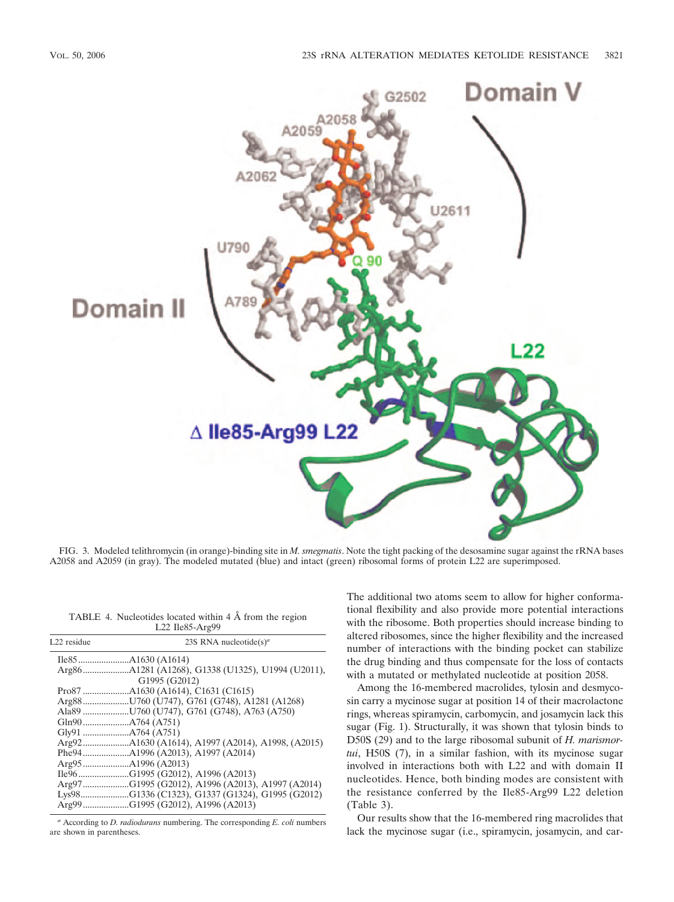

FIG. 3. Modeled telithromycin (in orange)-binding site in *M. smegmatis*. Note the tight packing of the desosamine sugar against the rRNA bases A2058 and A2059 (in gray). The modeled mutated (blue) and intact (green) ribosomal forms of protein L22 are superimposed.

| TABLE 4. Nucleotides located within 4 Å from the region |  |
|---------------------------------------------------------|--|
| $L22$ Ile85-Arg99                                       |  |

| L22 residue | 23S RNA nucleotide(s) <sup>a</sup>               |
|-------------|--------------------------------------------------|
|             |                                                  |
|             |                                                  |
|             | G1995 (G2012)                                    |
|             |                                                  |
|             |                                                  |
|             |                                                  |
|             |                                                  |
|             |                                                  |
|             |                                                  |
|             |                                                  |
|             |                                                  |
|             | Ile96G1995 (G2012), A1996 (A2013)                |
|             | Arg97G1995 (G2012), A1996 (A2013), A1997 (A2014) |
|             | Lys98G1336 (C1323), G1337 (G1324), G1995 (G2012) |
|             | Arg99G1995 (G2012), A1996 (A2013)                |

*<sup>a</sup>* According to *D. radiodurans* numbering. The corresponding *E. coli* numbers are shown in parentheses.

The additional two atoms seem to allow for higher conformational flexibility and also provide more potential interactions with the ribosome. Both properties should increase binding to altered ribosomes, since the higher flexibility and the increased number of interactions with the binding pocket can stabilize the drug binding and thus compensate for the loss of contacts with a mutated or methylated nucleotide at position 2058.

Among the 16-membered macrolides, tylosin and desmycosin carry a mycinose sugar at position 14 of their macrolactone rings, whereas spiramycin, carbomycin, and josamycin lack this sugar (Fig. 1). Structurally, it was shown that tylosin binds to D50S (29) and to the large ribosomal subunit of *H. marismortui*, H50S (7), in a similar fashion, with its mycinose sugar involved in interactions both with L22 and with domain II nucleotides. Hence, both binding modes are consistent with the resistance conferred by the Ile85-Arg99 L22 deletion (Table 3).

Our results show that the 16-membered ring macrolides that lack the mycinose sugar (i.e., spiramycin, josamycin, and car-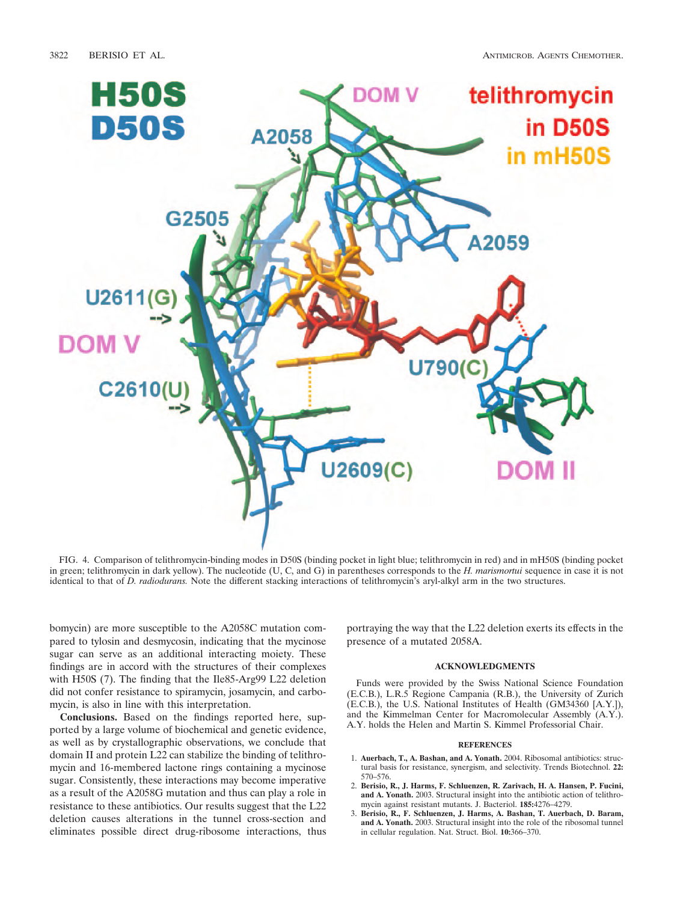

FIG. 4. Comparison of telithromycin-binding modes in D50S (binding pocket in light blue; telithromycin in red) and in mH50S (binding pocket in green; telithromycin in dark yellow). The nucleotide (U, C, and G) in parentheses corresponds to the *H. marismortui* sequence in case it is not identical to that of *D. radiodurans.* Note the different stacking interactions of telithromycin's aryl-alkyl arm in the two structures.

bomycin) are more susceptible to the A2058C mutation compared to tylosin and desmycosin, indicating that the mycinose sugar can serve as an additional interacting moiety. These findings are in accord with the structures of their complexes with H50S (7). The finding that the Ile85-Arg99 L22 deletion did not confer resistance to spiramycin, josamycin, and carbomycin, is also in line with this interpretation.

**Conclusions.** Based on the findings reported here, supported by a large volume of biochemical and genetic evidence, as well as by crystallographic observations, we conclude that domain II and protein L22 can stabilize the binding of telithromycin and 16-membered lactone rings containing a mycinose sugar. Consistently, these interactions may become imperative as a result of the A2058G mutation and thus can play a role in resistance to these antibiotics. Our results suggest that the L22 deletion causes alterations in the tunnel cross-section and eliminates possible direct drug-ribosome interactions, thus

portraying the way that the L22 deletion exerts its effects in the presence of a mutated 2058A.

### **ACKNOWLEDGMENTS**

Funds were provided by the Swiss National Science Foundation (E.C.B.), L.R.5 Regione Campania (R.B.), the University of Zurich (E.C.B.), the U.S. National Institutes of Health (GM34360 [A.Y.]), and the Kimmelman Center for Macromolecular Assembly (A.Y.). A.Y. holds the Helen and Martin S. Kimmel Professorial Chair.

#### **REFERENCES**

- 1. **Auerbach, T., A. Bashan, and A. Yonath.** 2004. Ribosomal antibiotics: structural basis for resistance, synergism, and selectivity. Trends Biotechnol. **22:** 570–576.
- 2. **Berisio, R., J. Harms, F. Schluenzen, R. Zarivach, H. A. Hansen, P. Fucini, and A. Yonath.** 2003. Structural insight into the antibiotic action of telithromycin against resistant mutants. J. Bacteriol. **185:**4276–4279.
- 3. **Berisio, R., F. Schluenzen, J. Harms, A. Bashan, T. Auerbach, D. Baram, and A. Yonath.** 2003. Structural insight into the role of the ribosomal tunnel in cellular regulation. Nat. Struct. Biol. **10:**366–370.